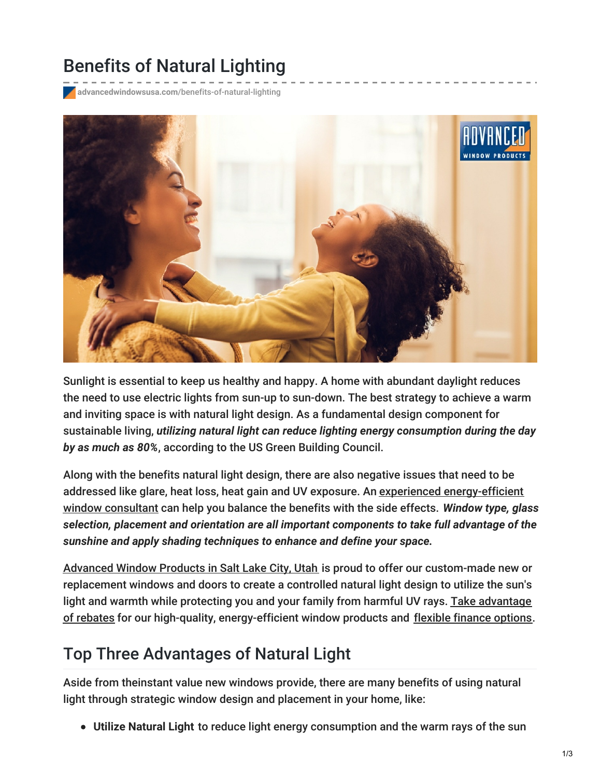# Benefits of Natural Lighting

**advancedwindowsusa.com**[/benefits-of-natural-lighting](https://advancedwindowsusa.com/benefits-of-natural-lighting)



Sunlight is essential to keep us healthy and happy. A home with abundant daylight reduces the need to use electric lights from sun-up to sun-down. The best strategy to achieve a warm and inviting space is with natural light design. As a fundamental design component for sustainable living, *utilizing natural light can reduce lighting energy consumption during the day by as much as 80%*, according to the US Green Building Council.

Along with the benefits natural light design, there are also negative issues that need to be addressed like glare, heat loss, heat gain and UV exposure. An experienced [energy-efficient](https://advancedwindowsusa.com/certifications) window consultant can help you balance the benefits with the side effects. *Window type, glass selection, placement and orientation are all important components to take full advantage of the sunshine and apply shading techniques to enhance and define your space.*

[Advanced](https://advancedwindowsusa.com/products) Window Products in Salt Lake City, Utah is proud to offer our custom-made new or replacement windows and doors to create a controlled natural light design to utilize the sun's light and warmth while protecting you and your family from harmful UV rays. Take advantage of rebates for our high-quality, [energy-efficient](https://advancedwindowsusa.com/rebates) window products and flexible [finance](https://advancedwindowsusa.com/home-improvement-financing) options.

### Top Three Advantages of Natural Light

Aside from theinstant value new windows provide, there are many benefits of using natural light through strategic window design and placement in your home, like:

**Utilize Natural Light** to reduce light energy consumption and the warm rays of the sun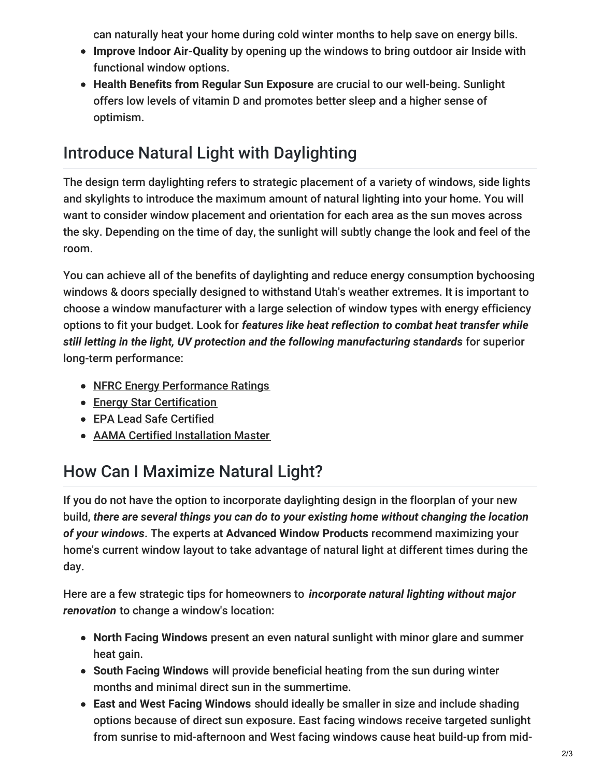can naturally heat your home during cold winter months to help save on energy bills.

- **Improve Indoor Air-Quality** by opening up the windows to bring outdoor air Inside with functional window options.
- **Health Benefits from Regular Sun Exposure** are crucial to our well-being. Sunlight offers low levels of vitamin D and promotes better sleep and a higher sense of optimism.

## Introduce Natural Light with Daylighting

The design term daylighting refers to strategic placement of a variety of windows, side lights and skylights to introduce the maximum amount of natural lighting into your home. You will want to consider window placement and orientation for each area as the sun moves across the sky. Depending on the time of day, the sunlight will subtly change the look and feel of the room.

You can achieve all of the benefits of daylighting and reduce energy consumption bychoosing windows & doors specially designed to withstand Utah's weather extremes. It is important to choose a window manufacturer with a large selection of window types with energy efficiency options to fit your budget. Look for *features like heat reflection to combat heat transfer while still letting in the light, UV protection and the following manufacturing standards* for superior long-term performance:

- NFRC Energy [Performance](http://www.nfrc.org/about/) Ratings
- **Energy Star [Certification](https://www.energystar.gov/about/)**
- EPA Lead Safe [Certified](https://www.epa.gov/lead)
- AAMA Certified [Installation](http://www.installationmasters.com/) Master

## How Can I Maximize Natural Light?

If you do not have the option to incorporate daylighting design in the floorplan of your new build, *there are several things you can do to your existing home without changing the location of your windows*. The experts at **Advanced Window Products** recommend maximizing your home's current window layout to take advantage of natural light at different times during the day.

Here are a few strategic tips for homeowners to *incorporate natural lighting without major renovation* to change a window's location:

- **North Facing Windows** present an even natural sunlight with minor glare and summer heat gain.
- **South Facing Windows** will provide beneficial heating from the sun during winter months and minimal direct sun in the summertime.
- **East and West Facing Windows** should ideally be smaller in size and include shading options because of direct sun exposure. East facing windows receive targeted sunlight from sunrise to mid-afternoon and West facing windows cause heat build-up from mid-